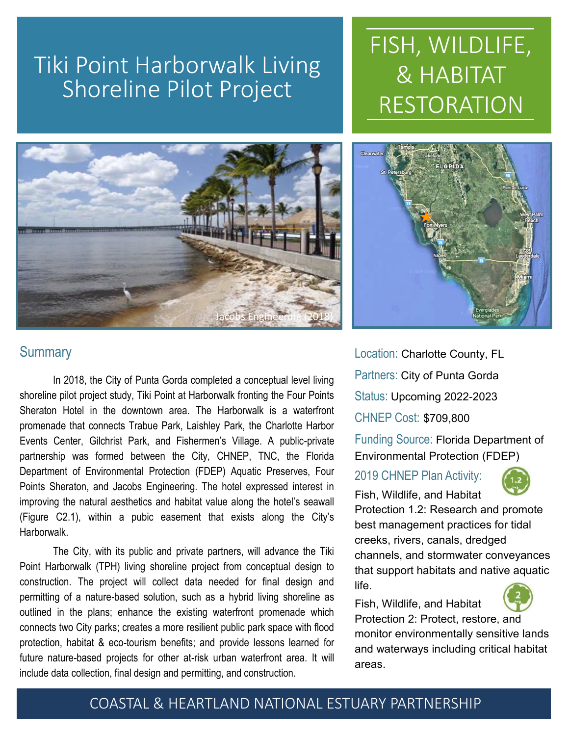## Tiki Point Harborwalk Living Shoreline Pilot Project



# FISH, WILDLIFE, & HABITAT RESTORATION



Location: Charlotte County, FL Partners: City of Punta Gorda Status: Upcoming 2022-2023 CHNEP Cost: \$709,800

Funding Source: Florida Department of Environmental Protection (FDEP)

## 2019 CHNEP Plan Activity:

Fish, Wildlife, and Habitat



Protection 1.2: Research and promote best management practices for tidal creeks, rivers, canals, dredged channels, and stormwater conveyances that support habitats and native aquatic life.

Fish, Wildlife, and Habitat

Protection 2: Protect, restore, and monitor environmentally sensitive lands and waterways including critical habitat areas.

## **Summary**

In 2018, the City of Punta Gorda completed a conceptual level living shoreline pilot project study, Tiki Point at Harborwalk fronting the Four Points Sheraton Hotel in the downtown area. The Harborwalk is a waterfront promenade that connects Trabue Park, Laishley Park, the Charlotte Harbor Events Center, Gilchrist Park, and Fishermen's Village. A public-private partnership was formed between the City, CHNEP, TNC, the Florida Department of Environmental Protection (FDEP) Aquatic Preserves, Four Points Sheraton, and Jacobs Engineering. The hotel expressed interest in improving the natural aesthetics and habitat value along the hotel's seawall (Figure C2.1), within a pubic easement that exists along the City's Harborwalk.

The City, with its public and private partners, will advance the Tiki Point Harborwalk (TPH) living shoreline project from conceptual design to construction. The project will collect data needed for final design and permitting of a nature-based solution, such as a hybrid living shoreline as outlined in the plans; enhance the existing waterfront promenade which connects two City parks; creates a more resilient public park space with flood protection, habitat & eco-tourism benefits; and provide lessons learned for future nature-based projects for other at-risk urban waterfront area. It will include data collection, final design and permitting, and construction.